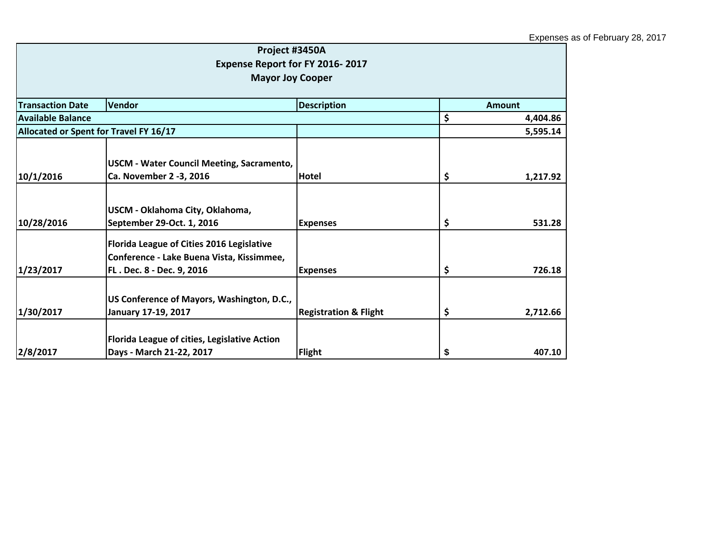|                                        | Project #3450A                               |                                  |                |
|----------------------------------------|----------------------------------------------|----------------------------------|----------------|
|                                        | Expense Report for FY 2016-2017              |                                  |                |
|                                        | <b>Mayor Joy Cooper</b>                      |                                  |                |
|                                        |                                              |                                  |                |
| <b>Transaction Date</b>                | Vendor                                       | <b>Description</b>               | <b>Amount</b>  |
| Available Balance                      |                                              |                                  | \$<br>4,404.86 |
| Allocated or Spent for Travel FY 16/17 |                                              |                                  | 5,595.14       |
|                                        |                                              |                                  |                |
|                                        | USCM - Water Council Meeting, Sacramento,    |                                  |                |
| 10/1/2016                              | Ca. November 2 -3, 2016                      | <b>Hotel</b>                     | \$<br>1,217.92 |
|                                        |                                              |                                  |                |
|                                        | USCM - Oklahoma City, Oklahoma,              |                                  |                |
| 10/28/2016                             | September 29-Oct. 1, 2016                    | <b>Expenses</b>                  | \$<br>531.28   |
|                                        | Florida League of Cities 2016 Legislative    |                                  |                |
|                                        | Conference - Lake Buena Vista, Kissimmee,    |                                  |                |
| 1/23/2017                              | FL. Dec. 8 - Dec. 9, 2016                    | <b>Expenses</b>                  | \$<br>726.18   |
|                                        |                                              |                                  |                |
|                                        | US Conference of Mayors, Washington, D.C.,   |                                  |                |
| 1/30/2017                              | January 17-19, 2017                          | <b>Registration &amp; Flight</b> | \$<br>2,712.66 |
|                                        | Florida League of cities, Legislative Action |                                  |                |
| 2/8/2017                               | Days - March 21-22, 2017                     | Flight                           | \$<br>407.10   |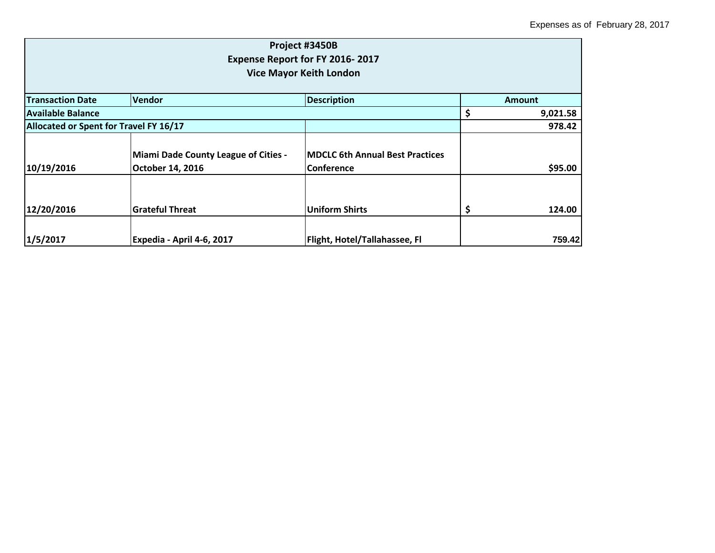| Project #3450B<br>Expense Report for FY 2016-2017<br><b>Vice Mayor Keith London</b> |                                                                 |                                                              |        |          |
|-------------------------------------------------------------------------------------|-----------------------------------------------------------------|--------------------------------------------------------------|--------|----------|
| <b>Transaction Date</b>                                                             | <b>Vendor</b>                                                   | <b>Description</b>                                           |        | Amount   |
| Available Balance                                                                   |                                                                 |                                                              | \$,    | 9,021.58 |
| Allocated or Spent for Travel FY 16/17                                              |                                                                 |                                                              | 978.42 |          |
| 10/19/2016                                                                          | <b>Miami Dade County League of Cities -</b><br>October 14, 2016 | <b>IMDCLC 6th Annual Best Practices</b><br><b>Conference</b> |        | \$95.00  |
| 12/20/2016                                                                          | <b>Grateful Threat</b>                                          | <b>Uniform Shirts</b>                                        | Ş      | 124.00   |
| 1/5/2017                                                                            | Expedia - April 4-6, 2017                                       | Flight, Hotel/Tallahassee, Fl                                |        | 759.42   |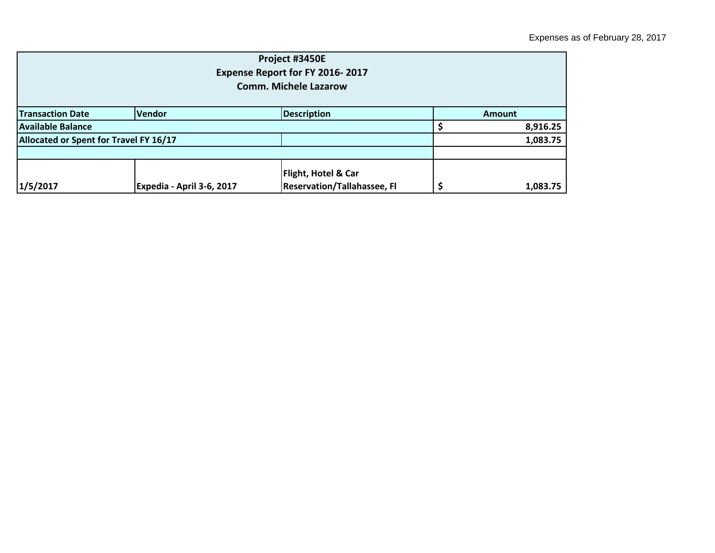| Project #3450E<br>Expense Report for FY 2016-2017<br><b>Comm. Michele Lazarow</b> |                           |                                                                      |          |          |  |
|-----------------------------------------------------------------------------------|---------------------------|----------------------------------------------------------------------|----------|----------|--|
| <b>Transaction Date</b>                                                           | <b>Vendor</b>             | <b>Description</b>                                                   |          | Amount   |  |
| <b>Available Balance</b>                                                          |                           |                                                                      |          | 8,916.25 |  |
| Allocated or Spent for Travel FY 16/17                                            |                           |                                                                      | 1,083.75 |          |  |
|                                                                                   |                           |                                                                      |          |          |  |
| 1/5/2017                                                                          | Expedia - April 3-6, 2017 | <b>Flight, Hotel &amp; Car</b><br><b>Reservation/Tallahassee, Fl</b> |          | 1,083.75 |  |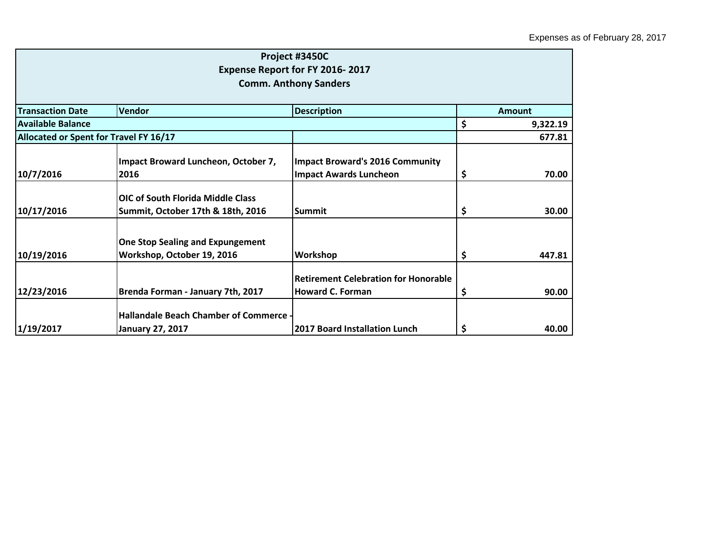|                                        |                                               | Project #3450C                              |                |
|----------------------------------------|-----------------------------------------------|---------------------------------------------|----------------|
|                                        |                                               | Expense Report for FY 2016-2017             |                |
|                                        |                                               | <b>Comm. Anthony Sanders</b>                |                |
| <b>Transaction Date</b>                | Vendor                                        |                                             | Amount         |
| <b>Available Balance</b>               |                                               | <b>Description</b>                          |                |
|                                        |                                               |                                             | \$<br>9,322.19 |
| Allocated or Spent for Travel FY 16/17 |                                               |                                             | 677.81         |
|                                        | Impact Broward Luncheon, October 7,           | <b>Impact Broward's 2016 Community</b>      |                |
| 10/7/2016                              | 2016                                          | <b>Impact Awards Luncheon</b>               | \$<br>70.00    |
|                                        | <b>OIC of South Florida Middle Class</b>      |                                             |                |
| 10/17/2016                             | Summit, October 17th & 18th, 2016             | <b>Summit</b>                               | \$<br>30.00    |
|                                        |                                               |                                             |                |
|                                        | <b>One Stop Sealing and Expungement</b>       |                                             |                |
| 10/19/2016                             | Workshop, October 19, 2016                    | Workshop                                    | \$<br>447.81   |
|                                        |                                               | <b>Retirement Celebration for Honorable</b> |                |
| 12/23/2016                             | Brenda Forman - January 7th, 2017             | <b>Howard C. Forman</b>                     | \$<br>90.00    |
|                                        | <b>Hallandale Beach Chamber of Commerce -</b> |                                             |                |
| 1/19/2017                              | <b>January 27, 2017</b>                       | <b>2017 Board Installation Lunch</b>        | \$<br>40.00    |